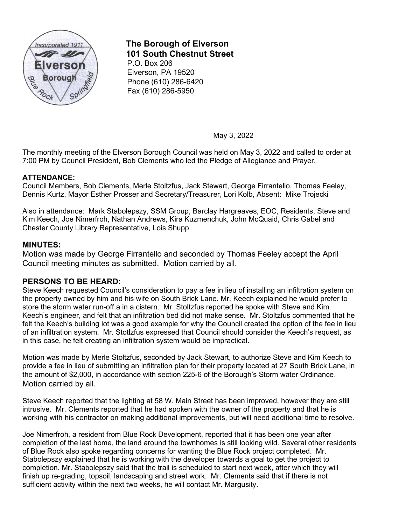

# **The Borough of Elverson 101 South Chestnut Street**

P.O. Box 206 Elverson, PA 19520 Phone (610) 286-6420 Fax (610) 286-5950

May 3, 2022

The monthly meeting of the Elverson Borough Council was held on May 3, 2022 and called to order at 7:00 PM by Council President, Bob Clements who led the Pledge of Allegiance and Prayer.

## **ATTENDANCE:**

Council Members, Bob Clements, Merle Stoltzfus, Jack Stewart, George Firrantello, Thomas Feeley, Dennis Kurtz, Mayor Esther Prosser and Secretary/Treasurer, Lori Kolb, Absent: Mike Trojecki

Also in attendance: Mark Stabolepszy, SSM Group, Barclay Hargreaves, EOC, Residents, Steve and Kim Keech, Joe Nimerfroh, Nathan Andrews, Kira Kuzmenchuk, John McQuaid, Chris Gabel and Chester County Library Representative, Lois Shupp

# **MINUTES:**

Motion was made by George Firrantello and seconded by Thomas Feeley accept the April Council meeting minutes as submitted. Motion carried by all.

# **PERSONS TO BE HEARD:**

Steve Keech requested Council's consideration to pay a fee in lieu of installing an infiltration system on the property owned by him and his wife on South Brick Lane. Mr. Keech explained he would prefer to store the storm water run-off a in a cistern. Mr. Stoltzfus reported he spoke with Steve and Kim Keech's engineer, and felt that an infiltration bed did not make sense. Mr. Stoltzfus commented that he felt the Keech's building lot was a good example for why the Council created the option of the fee in lieu of an infiltration system. Mr. Stotlzfus expressed that Council should consider the Keech's request, as in this case, he felt creating an infiltration system would be impractical.

Motion was made by Merle Stoltzfus, seconded by Jack Stewart, to authorize Steve and Kim Keech to provide a fee in lieu of submitting an infiltration plan for their property located at 27 South Brick Lane, in the amount of \$2,000, in accordance with section 225-6 of the Borough's Storm water Ordinance. Motion carried by all.

Steve Keech reported that the lighting at 58 W. Main Street has been improved, however they are still intrusive. Mr. Clements reported that he had spoken with the owner of the property and that he is working with his contractor on making additional improvements, but will need additional time to resolve.

Joe Nimerfroh, a resident from Blue Rock Development, reported that it has been one year after completion of the last home, the land around the townhomes is still looking wild. Several other residents of Blue Rock also spoke regarding concerns for wanting the Blue Rock project completed. Mr. Stabolepszy explained that he is working with the developer towards a goal to get the project to completion. Mr. Stabolepszy said that the trail is scheduled to start next week, after which they will finish up re-grading, topsoil, landscaping and street work. Mr. Clements said that if there is not sufficient activity within the next two weeks, he will contact Mr. Margusity.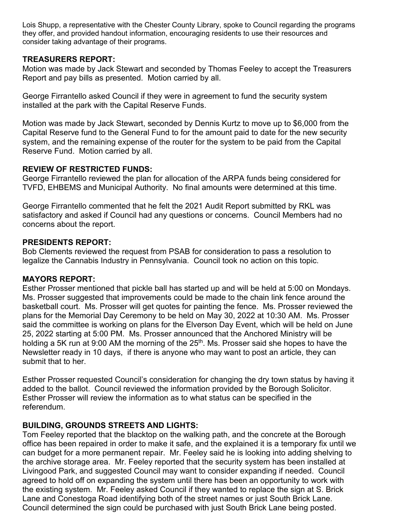Lois Shupp, a representative with the Chester County Library, spoke to Council regarding the programs they offer, and provided handout information, encouraging residents to use their resources and consider taking advantage of their programs.

# **TREASURERS REPORT:**

Motion was made by Jack Stewart and seconded by Thomas Feeley to accept the Treasurers Report and pay bills as presented. Motion carried by all.

George Firrantello asked Council if they were in agreement to fund the security system installed at the park with the Capital Reserve Funds.

Motion was made by Jack Stewart, seconded by Dennis Kurtz to move up to \$6,000 from the Capital Reserve fund to the General Fund to for the amount paid to date for the new security system, and the remaining expense of the router for the system to be paid from the Capital Reserve Fund. Motion carried by all.

# **REVIEW OF RESTRICTED FUNDS:**

George Firrantello reviewed the plan for allocation of the ARPA funds being considered for TVFD, EHBEMS and Municipal Authority. No final amounts were determined at this time.

George Firrantello commented that he felt the 2021 Audit Report submitted by RKL was satisfactory and asked if Council had any questions or concerns. Council Members had no concerns about the report.

# **PRESIDENTS REPORT:**

Bob Clements reviewed the request from PSAB for consideration to pass a resolution to legalize the Cannabis Industry in Pennsylvania. Council took no action on this topic.

# **MAYORS REPORT:**

Esther Prosser mentioned that pickle ball has started up and will be held at 5:00 on Mondays. Ms. Prosser suggested that improvements could be made to the chain link fence around the basketball court. Ms. Prosser will get quotes for painting the fence. Ms. Prosser reviewed the plans for the Memorial Day Ceremony to be held on May 30, 2022 at 10:30 AM. Ms. Prosser said the committee is working on plans for the Elverson Day Event, which will be held on June 25, 2022 starting at 5:00 PM. Ms. Prosser announced that the Anchored Ministry will be holding a 5K run at 9:00 AM the morning of the  $25<sup>th</sup>$ . Ms. Prosser said she hopes to have the Newsletter ready in 10 days, if there is anyone who may want to post an article, they can submit that to her.

Esther Prosser requested Council's consideration for changing the dry town status by having it added to the ballot. Council reviewed the information provided by the Borough Solicitor. Esther Prosser will review the information as to what status can be specified in the referendum.

# **BUILDING, GROUNDS STREETS AND LIGHTS:**

Tom Feeley reported that the blacktop on the walking path, and the concrete at the Borough office has been repaired in order to make it safe, and the explained it is a temporary fix until we can budget for a more permanent repair. Mr. Feeley said he is looking into adding shelving to the archive storage area. Mr. Feeley reported that the security system has been installed at Livingood Park, and suggested Council may want to consider expanding if needed. Council agreed to hold off on expanding the system until there has been an opportunity to work with the existing system. Mr. Feeley asked Council if they wanted to replace the sign at S. Brick Lane and Conestoga Road identifying both of the street names or just South Brick Lane. Council determined the sign could be purchased with just South Brick Lane being posted.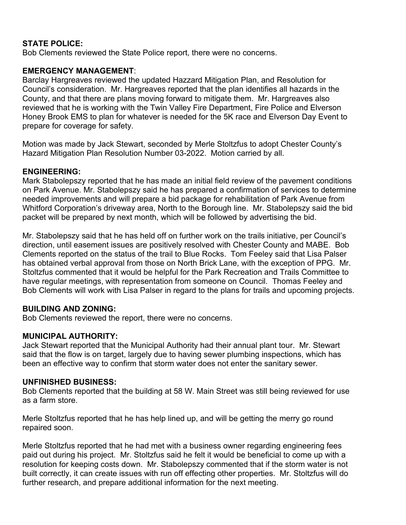# **STATE POLICE:**

Bob Clements reviewed the State Police report, there were no concerns.

# **EMERGENCY MANAGEMENT**:

Barclay Hargreaves reviewed the updated Hazzard Mitigation Plan, and Resolution for Council's consideration. Mr. Hargreaves reported that the plan identifies all hazards in the County, and that there are plans moving forward to mitigate them. Mr. Hargreaves also reviewed that he is working with the Twin Valley Fire Department, Fire Police and Elverson Honey Brook EMS to plan for whatever is needed for the 5K race and Elverson Day Event to prepare for coverage for safety.

Motion was made by Jack Stewart, seconded by Merle Stoltzfus to adopt Chester County's Hazard Mitigation Plan Resolution Number 03-2022. Motion carried by all.

## **ENGINEERING:**

Mark Stabolepszy reported that he has made an initial field review of the pavement conditions on Park Avenue. Mr. Stabolepszy said he has prepared a confirmation of services to determine needed improvements and will prepare a bid package for rehabilitation of Park Avenue from Whitford Corporation's driveway area, North to the Borough line. Mr. Stabolepszy said the bid packet will be prepared by next month, which will be followed by advertising the bid.

Mr. Stabolepszy said that he has held off on further work on the trails initiative, per Council's direction, until easement issues are positively resolved with Chester County and MABE. Bob Clements reported on the status of the trail to Blue Rocks. Tom Feeley said that Lisa Palser has obtained verbal approval from those on North Brick Lane, with the exception of PPG. Mr. Stoltzfus commented that it would be helpful for the Park Recreation and Trails Committee to have regular meetings, with representation from someone on Council. Thomas Feeley and Bob Clements will work with Lisa Palser in regard to the plans for trails and upcoming projects.

# **BUILDING AND ZONING:**

Bob Clements reviewed the report, there were no concerns.

# **MUNICIPAL AUTHORITY:**

Jack Stewart reported that the Municipal Authority had their annual plant tour. Mr. Stewart said that the flow is on target, largely due to having sewer plumbing inspections, which has been an effective way to confirm that storm water does not enter the sanitary sewer.

#### **UNFINISHED BUSINESS:**

Bob Clements reported that the building at 58 W. Main Street was still being reviewed for use as a farm store.

Merle Stoltzfus reported that he has help lined up, and will be getting the merry go round repaired soon.

Merle Stoltzfus reported that he had met with a business owner regarding engineering fees paid out during his project. Mr. Stoltzfus said he felt it would be beneficial to come up with a resolution for keeping costs down. Mr. Stabolepszy commented that if the storm water is not built correctly, it can create issues with run off effecting other properties. Mr. Stoltzfus will do further research, and prepare additional information for the next meeting.